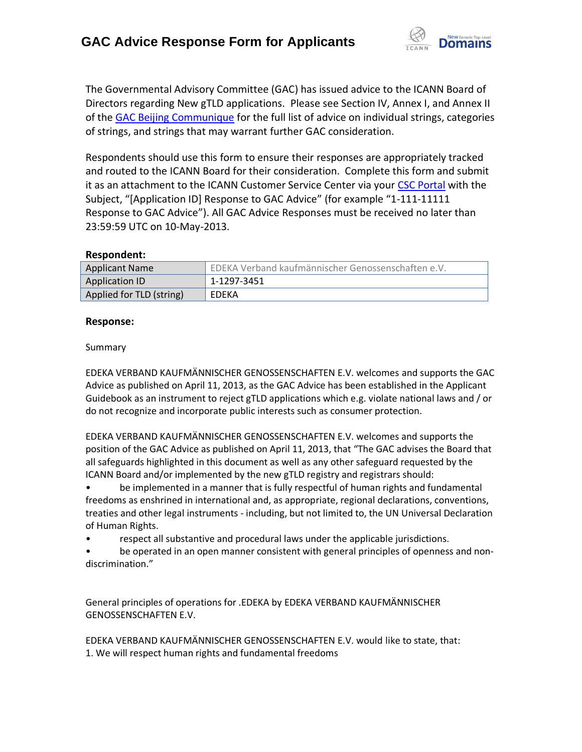

The Governmental Advisory Committee (GAC) has issued advice to the ICANN Board of Directors regarding New gTLD applications. Please see Section IV, Annex I, and Annex II of the [GAC Beijing Communique](http://www.icann.org/en/news/correspondence/gac-to-board-18apr13-en.pdf) for the full list of advice on individual strings, categories of strings, and strings that may warrant further GAC consideration.

Respondents should use this form to ensure their responses are appropriately tracked and routed to the ICANN Board for their consideration. Complete this form and submit it as an attachment to the ICANN Customer Service Center via your CSC [Portal](https://myicann.secure.force.com/) with the Subject, "[Application ID] Response to GAC Advice" (for example "1-111-11111 Response to GAC Advice"). All GAC Advice Responses must be received no later than 23:59:59 UTC on 10-May-2013.

### **Respondent:**

| <b>Applicant Name</b>    | EDEKA Verband kaufmännischer Genossenschaften e.V. |
|--------------------------|----------------------------------------------------|
| Application ID           | 1-1297-3451                                        |
| Applied for TLD (string) | EDEKA                                              |

### **Response:**

### Summary

EDEKA VERBAND KAUFMÄNNISCHER GENOSSENSCHAFTEN E.V. welcomes and supports the GAC Advice as published on April 11, 2013, as the GAC Advice has been established in the Applicant Guidebook as an instrument to reject gTLD applications which e.g. violate national laws and / or do not recognize and incorporate public interests such as consumer protection.

EDEKA VERBAND KAUFMÄNNISCHER GENOSSENSCHAFTEN E.V. welcomes and supports the position of the GAC Advice as published on April 11, 2013, that "The GAC advises the Board that all safeguards highlighted in this document as well as any other safeguard requested by the ICANN Board and/or implemented by the new gTLD registry and registrars should:

• be implemented in a manner that is fully respectful of human rights and fundamental freedoms as enshrined in international and, as appropriate, regional declarations, conventions, treaties and other legal instruments - including, but not limited to, the UN Universal Declaration of Human Rights.

• respect all substantive and procedural laws under the applicable jurisdictions.

be operated in an open manner consistent with general principles of openness and nondiscrimination."

General principles of operations for .EDEKA by EDEKA VERBAND KAUFMÄNNISCHER GENOSSENSCHAFTEN E.V.

EDEKA VERBAND KAUFMÄNNISCHER GENOSSENSCHAFTEN E.V. would like to state, that: 1. We will respect human rights and fundamental freedoms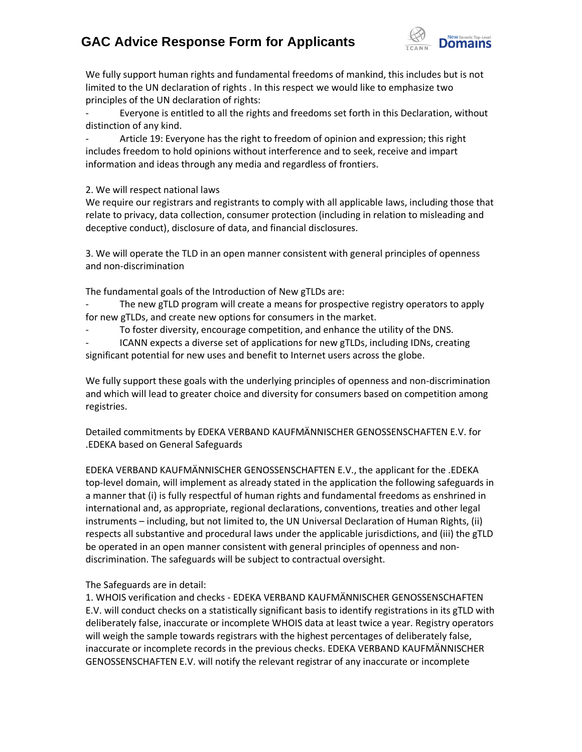# **GAC Advice Response Form for Applicants**



We fully support human rights and fundamental freedoms of mankind, this includes but is not limited to the UN declaration of rights . In this respect we would like to emphasize two principles of the UN declaration of rights:

Everyone is entitled to all the rights and freedoms set forth in this Declaration, without distinction of any kind.

Article 19: Everyone has the right to freedom of opinion and expression; this right includes freedom to hold opinions without interference and to seek, receive and impart information and ideas through any media and regardless of frontiers.

2. We will respect national laws

We require our registrars and registrants to comply with all applicable laws, including those that relate to privacy, data collection, consumer protection (including in relation to misleading and deceptive conduct), disclosure of data, and financial disclosures.

3. We will operate the TLD in an open manner consistent with general principles of openness and non‐discrimination

The fundamental goals of the Introduction of New gTLDs are:

The new gTLD program will create a means for prospective registry operators to apply for new gTLDs, and create new options for consumers in the market.

To foster diversity, encourage competition, and enhance the utility of the DNS.

ICANN expects a diverse set of applications for new gTLDs, including IDNs, creating significant potential for new uses and benefit to Internet users across the globe.

We fully support these goals with the underlying principles of openness and non-discrimination and which will lead to greater choice and diversity for consumers based on competition among registries.

Detailed commitments by EDEKA VERBAND KAUFMÄNNISCHER GENOSSENSCHAFTEN E.V. for .EDEKA based on General Safeguards

EDEKA VERBAND KAUFMÄNNISCHER GENOSSENSCHAFTEN E.V., the applicant for the .EDEKA top-level domain, will implement as already stated in the application the following safeguards in a manner that (i) is fully respectful of human rights and fundamental freedoms as enshrined in international and, as appropriate, regional declarations, conventions, treaties and other legal instruments – including, but not limited to, the UN Universal Declaration of Human Rights, (ii) respects all substantive and procedural laws under the applicable jurisdictions, and (iii) the gTLD be operated in an open manner consistent with general principles of openness and nondiscrimination. The safeguards will be subject to contractual oversight.

### The Safeguards are in detail:

1. WHOIS verification and checks - EDEKA VERBAND KAUFMÄNNISCHER GENOSSENSCHAFTEN E.V. will conduct checks on a statistically significant basis to identify registrations in its gTLD with deliberately false, inaccurate or incomplete WHOIS data at least twice a year. Registry operators will weigh the sample towards registrars with the highest percentages of deliberately false, inaccurate or incomplete records in the previous checks. EDEKA VERBAND KAUFMÄNNISCHER GENOSSENSCHAFTEN E.V. will notify the relevant registrar of any inaccurate or incomplete